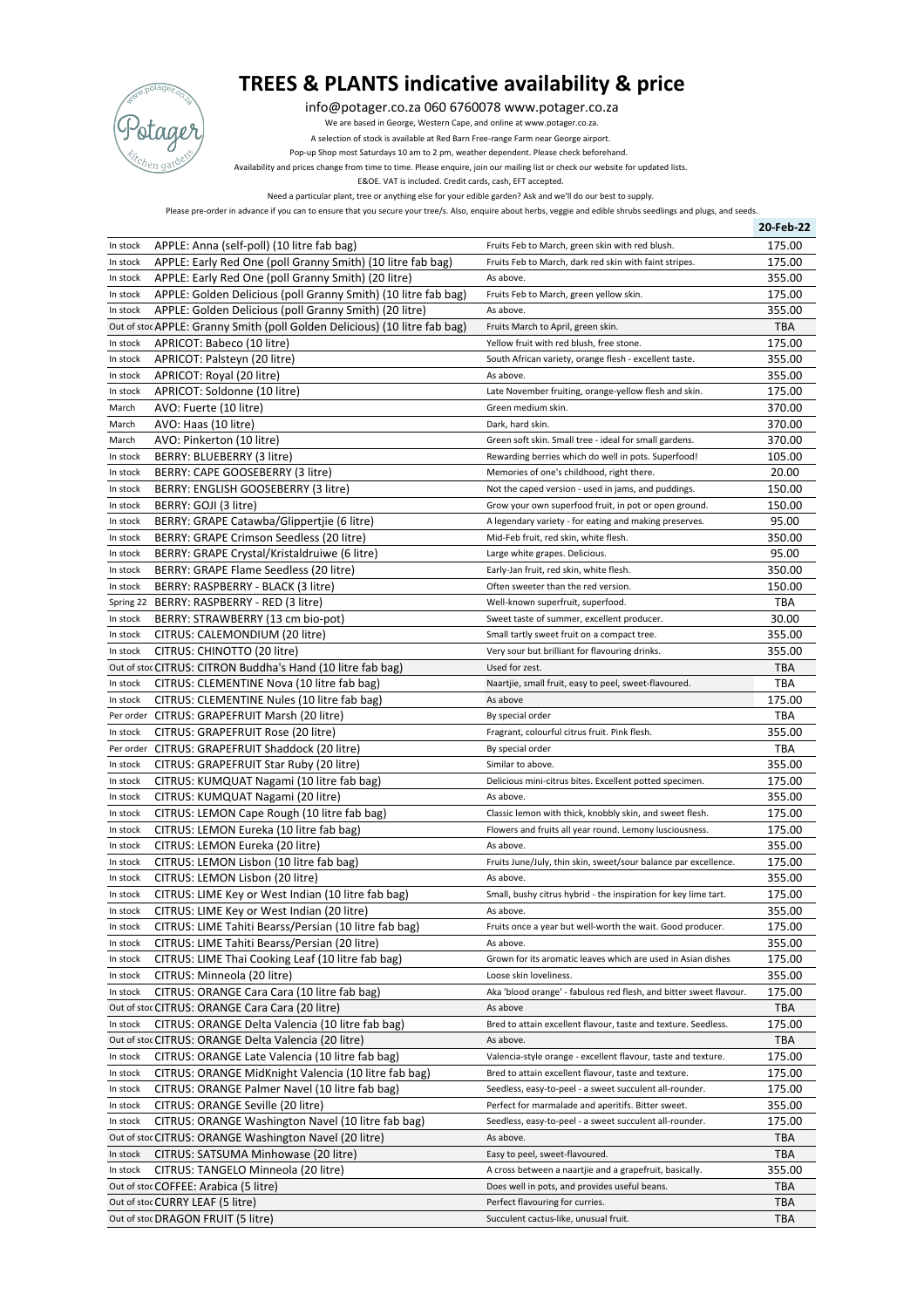

## **TREES & PLANTS indicative availability & price**

info@potager.co.za 060 6760078 www.potager.co.za

We are based in George, Western Cape, and online at www.potager.co.za.

A selection of stock is available at Red Barn Free-range Farm near George airport.

Pop-up Shop most Saturdays 10 am to 2 pm, weather dependent. Please check beforehand.

Availability and prices change from time to time. Please enquire, join our mailing list or check our website for updated lists.

E&OE. VAT is included. Credit cards, cash, EFT accepted.

Need a particular plant, tree or anything else for your edible garden? Ask and we'll do our best to supply.

Please pre-order in advance if you can to ensure that you secure your tree/s. Also, enquire about herbs, veggie and edible shrubs seedlings and plugs, and seeds.

|           |                                                                            |                                                                    | 20-Feb-22  |
|-----------|----------------------------------------------------------------------------|--------------------------------------------------------------------|------------|
| In stock  | APPLE: Anna (self-poll) (10 litre fab bag)                                 | Fruits Feb to March, green skin with red blush.                    | 175.00     |
| In stock  | APPLE: Early Red One (poll Granny Smith) (10 litre fab bag)                | Fruits Feb to March, dark red skin with faint stripes.             | 175.00     |
| In stock  | APPLE: Early Red One (poll Granny Smith) (20 litre)                        | As above.                                                          | 355.00     |
| In stock  | APPLE: Golden Delicious (poll Granny Smith) (10 litre fab bag)             | Fruits Feb to March, green yellow skin.                            | 175.00     |
| In stock  | APPLE: Golden Delicious (poll Granny Smith) (20 litre)                     | As above.                                                          | 355.00     |
|           | Out of stoc APPLE: Granny Smith (poll Golden Delicious) (10 litre fab bag) | Fruits March to April, green skin.                                 | <b>TBA</b> |
| In stock  | APRICOT: Babeco (10 litre)                                                 | Yellow fruit with red blush, free stone.                           | 175.00     |
| In stock  | APRICOT: Palsteyn (20 litre)                                               | South African variety, orange flesh - excellent taste.             | 355.00     |
| In stock  | APRICOT: Royal (20 litre)                                                  | As above.                                                          | 355.00     |
| In stock  | APRICOT: Soldonne (10 litre)                                               | Late November fruiting, orange-yellow flesh and skin.              | 175.00     |
| March     | AVO: Fuerte (10 litre)                                                     | Green medium skin.                                                 | 370.00     |
| March     | AVO: Haas (10 litre)                                                       | Dark, hard skin.                                                   | 370.00     |
| March     | AVO: Pinkerton (10 litre)                                                  | Green soft skin. Small tree - ideal for small gardens.             | 370.00     |
| In stock  | BERRY: BLUEBERRY (3 litre)                                                 | Rewarding berries which do well in pots. Superfood!                | 105.00     |
| In stock  | BERRY: CAPE GOOSEBERRY (3 litre)                                           | Memories of one's childhood, right there.                          | 20.00      |
| In stock  | BERRY: ENGLISH GOOSEBERRY (3 litre)                                        | Not the caped version - used in jams, and puddings.                | 150.00     |
| In stock  | BERRY: GOJI (3 litre)                                                      | Grow your own superfood fruit, in pot or open ground.              | 150.00     |
| In stock  | BERRY: GRAPE Catawba/Glippertjie (6 litre)                                 | A legendary variety - for eating and making preserves.             | 95.00      |
| In stock  | BERRY: GRAPE Crimson Seedless (20 litre)                                   | Mid-Feb fruit, red skin, white flesh.                              | 350.00     |
| In stock  | BERRY: GRAPE Crystal/Kristaldruiwe (6 litre)                               | Large white grapes. Delicious.                                     | 95.00      |
| In stock  | BERRY: GRAPE Flame Seedless (20 litre)                                     | Early-Jan fruit, red skin, white flesh.                            | 350.00     |
| In stock  | BERRY: RASPBERRY - BLACK (3 litre)                                         | Often sweeter than the red version.                                | 150.00     |
| Spring 22 | BERRY: RASPBERRY - RED (3 litre)                                           | Well-known superfruit, superfood.                                  | TBA        |
| In stock  | BERRY: STRAWBERRY (13 cm bio-pot)                                          | Sweet taste of summer, excellent producer.                         | 30.00      |
| In stock  | CITRUS: CALEMONDIUM (20 litre)                                             | Small tartly sweet fruit on a compact tree.                        | 355.00     |
| In stock  | CITRUS: CHINOTTO (20 litre)                                                | Very sour but brilliant for flavouring drinks.                     | 355.00     |
|           | Out of stoc CITRUS: CITRON Buddha's Hand (10 litre fab bag)                | Used for zest.                                                     | TBA        |
| In stock  | CITRUS: CLEMENTINE Nova (10 litre fab bag)                                 | Naartjie, small fruit, easy to peel, sweet-flavoured.              | TBA        |
| In stock  | CITRUS: CLEMENTINE Nules (10 litre fab bag)                                | As above                                                           | 175.00     |
|           | Per order CITRUS: GRAPEFRUIT Marsh (20 litre)                              | By special order                                                   | TBA        |
| In stock  | CITRUS: GRAPEFRUIT Rose (20 litre)                                         | Fragrant, colourful citrus fruit. Pink flesh.                      | 355.00     |
|           | Per order CITRUS: GRAPEFRUIT Shaddock (20 litre)                           | By special order                                                   | TBA        |
| In stock  | CITRUS: GRAPEFRUIT Star Ruby (20 litre)                                    | Similar to above.                                                  | 355.00     |
| In stock  | CITRUS: KUMQUAT Nagami (10 litre fab bag)                                  | Delicious mini-citrus bites. Excellent potted specimen.            | 175.00     |
| In stock  | CITRUS: KUMQUAT Nagami (20 litre)                                          | As above.                                                          | 355.00     |
| In stock  | CITRUS: LEMON Cape Rough (10 litre fab bag)                                | Classic lemon with thick, knobbly skin, and sweet flesh.           | 175.00     |
| In stock  | CITRUS: LEMON Eureka (10 litre fab bag)                                    | Flowers and fruits all year round. Lemony lusciousness.            | 175.00     |
| In stock  | CITRUS: LEMON Eureka (20 litre)                                            | As above.                                                          | 355.00     |
| In stock  | CITRUS: LEMON Lisbon (10 litre fab bag)                                    | Fruits June/July, thin skin, sweet/sour balance par excellence.    | 175.00     |
| In stock  | CITRUS: LEMON Lisbon (20 litre)                                            | As above.                                                          | 355.00     |
| In stock  | CITRUS: LIME Key or West Indian (10 litre fab bag)                         | Small, bushy citrus hybrid - the inspiration for key lime tart.    | 175.00     |
| In stock  | CITRUS: LIME Key or West Indian (20 litre)                                 | As above.                                                          | 355.00     |
| In stock  | CITRUS: LIME Tahiti Bearss/Persian (10 litre fab bag)                      | Fruits once a year but well-worth the wait. Good producer.         | 175.00     |
| In stock  | CITRUS: LIME Tahiti Bearss/Persian (20 litre)                              | As above.                                                          | 355.00     |
| In stock  | CITRUS: LIME Thai Cooking Leaf (10 litre fab bag)                          | Grown for its aromatic leaves which are used in Asian dishes       | 175.00     |
| In stock  | CITRUS: Minneola (20 litre)                                                | Loose skin loveliness.                                             | 355.00     |
| In stock  | CITRUS: ORANGE Cara Cara (10 litre fab bag)                                | Aka 'blood orange' - fabulous red flesh, and bitter sweet flavour. | 175.00     |
|           | Out of stoc CITRUS: ORANGE Cara Cara (20 litre)                            | As above                                                           | TBA        |
| In stock  | CITRUS: ORANGE Delta Valencia (10 litre fab bag)                           | Bred to attain excellent flavour, taste and texture. Seedless.     | 175.00     |
|           | Out of stoc CITRUS: ORANGE Delta Valencia (20 litre)                       | As above.                                                          | TBA        |
| In stock  | CITRUS: ORANGE Late Valencia (10 litre fab bag)                            | Valencia-style orange - excellent flavour, taste and texture.      | 175.00     |
| In stock  | CITRUS: ORANGE MidKnight Valencia (10 litre fab bag)                       | Bred to attain excellent flavour, taste and texture.               | 175.00     |
| In stock  | CITRUS: ORANGE Palmer Navel (10 litre fab bag)                             | Seedless, easy-to-peel - a sweet succulent all-rounder.            | 175.00     |
| In stock  | CITRUS: ORANGE Seville (20 litre)                                          | Perfect for marmalade and aperitifs. Bitter sweet.                 | 355.00     |
| In stock  | CITRUS: ORANGE Washington Navel (10 litre fab bag)                         | Seedless, easy-to-peel - a sweet succulent all-rounder.            | 175.00     |
|           | Out of stoc CITRUS: ORANGE Washington Navel (20 litre)                     | As above.                                                          | TBA        |
| In stock  | CITRUS: SATSUMA Minhowase (20 litre)                                       | Easy to peel, sweet-flavoured.                                     | TBA        |
| In stock  | CITRUS: TANGELO Minneola (20 litre)                                        | A cross between a naartjie and a grapefruit, basically.            | 355.00     |
|           | Out of stoc COFFEE: Arabica (5 litre)                                      | Does well in pots, and provides useful beans.                      | TBA        |
|           | Out of stoc CURRY LEAF (5 litre)                                           | Perfect flavouring for curries.                                    | TBA        |
|           | Out of stoc DRAGON FRUIT (5 litre)                                         | Succulent cactus-like, unusual fruit.                              | <b>TBA</b> |